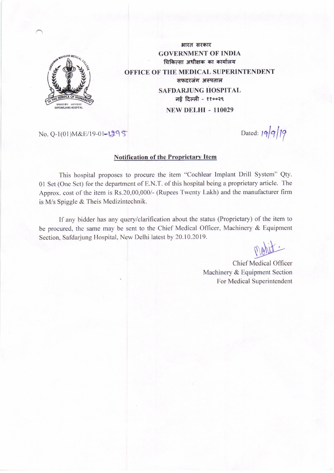

भारत सरकार **GOVERNMENT OF INDIA** चिकित्सा अधीक्षक का कार्यालय **OFFICE OF THE MEDICAL SUPERINTENDENT** सफदरजंग अस्पताल **SAFDARJUNG HOSPITAL** नई दिल्ली - ११००२९ **NEW DELHI - 110029** 

No. 0-1(01) M&E/19-01-1295

# **Notification of the Proprietary Item**

This hospital proposes to procure the item "Cochlear Implant Drill System" Qty. 01 Set (One Set) for the department of E.N.T. of this hospital being a proprietary article. The Approx. cost of the item is Rs.20,00,000/- (Rupees Twenty Lakh) and the manufacturer firm is M/s Spiggle & Theis Medizintechnik.

If any bidder has any query/clarification about the status (Proprietary) of the item to be procured, the same may be sent to the Chief Medical Officer, Machinery & Equipment Section, Safdarjung Hospital, New Delhi latest by 20.10.2019.

Dated:  $19919$ 

**Chief Medical Officer** Machinery & Equipment Section For Medical Superintendent